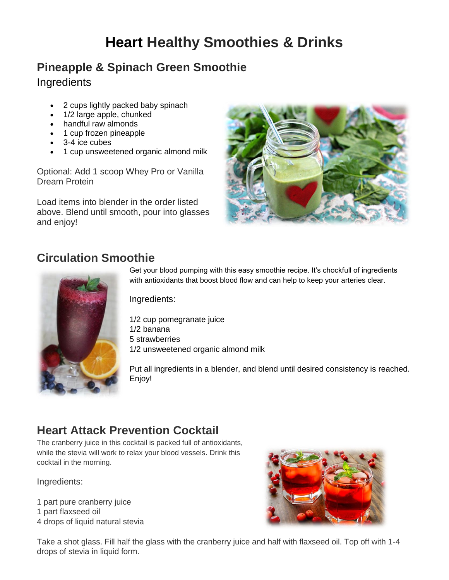# **Heart Healthy Smoothies & Drinks**

#### **Pineapple & Spinach Green Smoothie**

Ingredients

- 2 cups lightly packed baby spinach
- 1/2 large apple, chunked
- handful raw almonds
- 1 cup frozen pineapple
- 3-4 ice cubes
- 1 cup unsweetened organic almond milk

Optional: Add 1 scoop Whey Pro or Vanilla Dream Protein

Load items into blender in the order listed above. Blend until smooth, pour into glasses and enjoy!



## **Circulation Smoothie**



Get your blood pumping with this easy smoothie recipe. It's chockfull of ingredients with antioxidants that boost blood flow and can help to keep your arteries clear.

Ingredients:

1/2 cup pomegranate juice 1/2 banana 5 strawberries 1/2 unsweetened organic almond milk

Put all ingredients in a blender, and blend until desired consistency is reached. Enjoy!

## **Heart Attack Prevention Cocktail**

The cranberry juice in this cocktail is packed full of antioxidants, while the stevia will work to relax your blood vessels. Drink this cocktail in the morning.

Ingredients:

1 part pure cranberry juice 1 part flaxseed oil 4 drops of liquid natural stevia



Take a shot glass. Fill half the glass with the cranberry juice and half with flaxseed oil. Top off with 1-4 drops of stevia in liquid form.